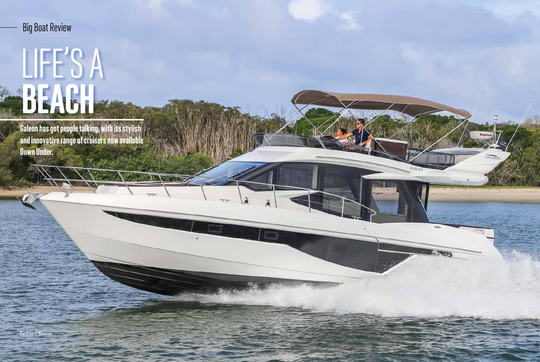# LIFE'S A BEACH

Galeon has got people talking, with its stylish and innovative range of cruisers now available Down Under.

**CONTRACTOR** 

### Big Boat Review

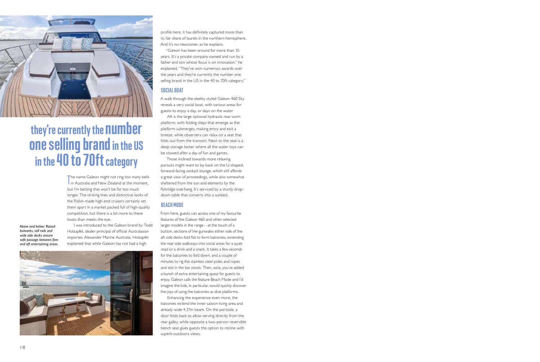The name Galeon might not ring too many bells<br>in Australia and New Zealand at the moment, The name Galeon might not ring too many bells but I'm betting that won't be for too much longer. The striking lines and distinctive looks of the Polish-made high-end cruisers certainly set them apart in a market packed full of high-quality competition, but there is a lot more to these boats than meets the eye.

I was introduced to the Galeon brand by Todd Holzapfel, dealer principal of official Australasian importer, Alexander Marine Australia. Holzapfel explained that while Galeon has not had a high





## they're currently the number one selling brand in the US in the 40 to 70ft category

profile here, it has definitely captured more than its fair share of laurels in the northern hemisphere. And it's no newcomer, as he explains.

"Galeon has been around for more than 35 years. It's a private company owned and run by a father and son whose focus is on innovation," he explained. "They've won numerous awards over the years and they're currently the number one selling brand in the US in the 40 to 70ft category."

#### SOCIAL BOAT

A walk through the sleekly styled Galeon 460 Sky reveals a very social boat, with various areas for guests to enjoy a day, or days on the water.

Aft is the large optional hydraulic rear swim platform, with folding steps that emerge as the platform submerges, making entry and exit a breeze, while observers can relax on a seat that folds out from the transom. Next to the seat is a deep storage locker where all the water toys can be stowed after a day of fun and games.

Those inclined towards more relaxing pursuits might want to lay back on the U-shaped, forward-facing cockpit lounge, which still affords a great view of proceedings, while also somewhat sheltered from the sun and elements by the flybridge overhang. It's serviced by a sturdy dropdown table that converts into a sunbed.

#### BEACH MODE

From here, guests can access one of my favourite features of the Galeon 460 and other selected larger models in the range – at the touch of a button, sections of the gunwales either side of the aft side decks fold flat to form balconies, extending the rear side walkways into social areas for a quiet read or a drink and a snack. It takes a few seconds for the balconies to fold down, and a couple of minutes to rig the stainless steel poles and ropes and slot in the bar stools. Then, voila, you've added a bunch of extra entertaining space for guests to enjoy. Galeon calls the feature Beach Mode and I'd imagine the kids, in particular, would quickly discover the joys of using the balconies as dive platforms.

Enhancing the experience even more, the balconies extend the inner saloon living area and already wide 4.37m beam. On the portside, a door folds back to allow serving directly from the rear galley, while opposite a two-person reversible bench seat gives guests the option to recline with superb outdoors views.

*Above and below: Raised bulwarks, tall rails and wide side decks ensure safe passage between fore and aft entertaining areas.*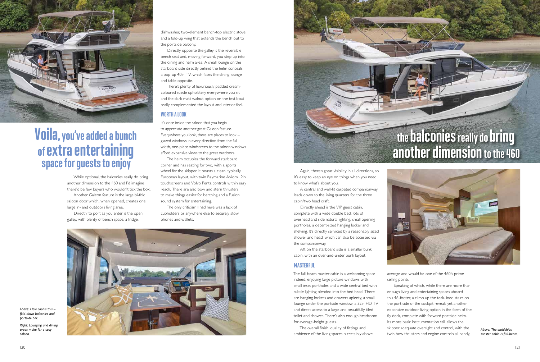While optional, the balconies really do bring another dimension to the 460 and I'd imagine there'd be few buyers who wouldn't tick the box. Another Galeon feature is the large bi-fold saloon door which, when opened, creates one large in- and outdoors living area.

Directly to port as you enter is the open galley, with plenty of bench space, a fridge,

dishwasher, two-element bench-top electric stove and a fold-up wing that extends the bench out to the portside balcony.

Directly opposite the galley is the reversible bench seat and, moving forward, you step up into the dining and helm area. A small lounge on the starboard side directly behind the helm conceals a pop-up 40in TV, which faces the dining lounge and table opposite.

It's once inside the saloon that you begin to appreciate another great Galeon feature. Everywhere you look, there are places to look – glazed windows in every direction from the fullwidth, one-piece windscreen to the saloon windows afford expansive views to the great outdoors.

The helm occupies the forward starboard corner and has seating for two, with a sports wheel for the skipper. It boasts a clean, typically European layout, with twin Raymarine Axiom 12in touchscreens and Volvo Penta controls within easy reach. There are also bow and stern thrusters to make things easier for berthing and a Fusion sound system for entertaining. Space for guests to enjoy<br>
Space for guests to enjoy of the skipper. It boasts a clean, typically<br>
Wheel for the skipper. It boasts a clean, typically Again, there's great visibility in all directions, so

There's plenty of luxuriously padded creamcoloured suede upholstery everywhere you sit and the dark matt walnut option on the test boat really complemented the layout and interior feel.

#### WORTH A LOOK

The only criticism I had here was a lack of cupholders or anywhere else to securely stow phones and wallets.





## Voila, you've added a bunch of extra entertaining

it's easy to keep an eye on things when you need to know what's about you.

A central and well-lit carpeted companionway leads down to the living quarters for the three cabin/two head craft.

Directly ahead is the VIP guest cabin, complete with a wide double bed, lots of overhead and side natural lighting, small opening portholes, a decent-sized hanging locker and shelving. It's directly serviced by a reasonably sized shower and head, which can also be accessed via the companionway.

Aft on the starboard side is a smaller bunk cabin, with an over-and-under bunk layout.

#### MASTERFUL

The full-beam master cabin is a welcoming space indeed, enjoying large picture windows with small inset portholes and a wide central bed with subtle lighting blended into the bed head. There are hanging lockers and drawers aplenty, a small lounge under the portside window, a 32in HD TV and direct access to a large and beautifully tiled toilet and shower. There's also enough headroom for average-height guests.

The overall finish, quality of fittings and ambience of the living spaces is certainly above-



average and would be one of the 460's prime selling points.

Speaking of which, while there are more than enough living and entertaining spaces aboard this 46-footer, a climb up the teak-lined stairs on the port side of the cockpit reveals yet another expansive outdoor living option in the form of the fly deck, complete with forward portside helm. Its more basic instrumentation still allows the skipper adequate oversight and control, with the twin bow thrusters and engine controls all handy,

## the balconies really do bring another dimension to the 460

*Above: How cool is this – fold-down balconies and portside bar.*

*Right: Lounging and dining areas make for a cosy saloon.*



*Above: The amidships master cabin is full-beam.*